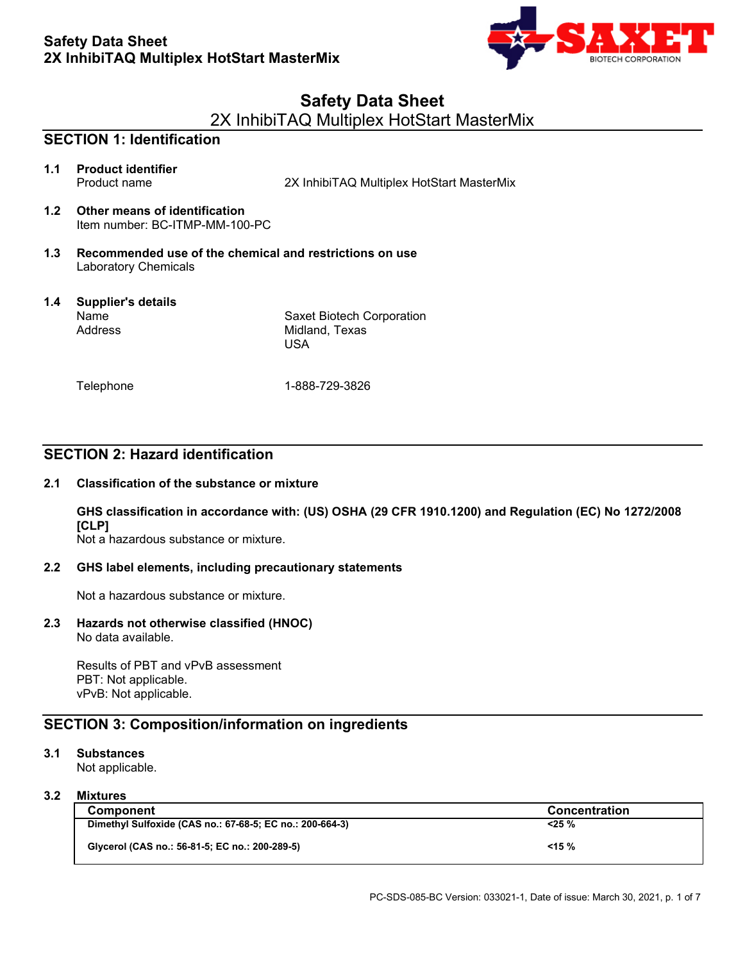

# **Safety Data Sheet**

2X InhibiTAQ Multiplex HotStart MasterMix

# **SECTION 1: Identification 1.1 Product identifier** Product name 2X InhibiTAQ Multiplex HotStart MasterMix **1.2 Other means of identification** Item number: BC-ITMP-MM-100-PC **1.3 Recommended use of the chemical and restrictions on use** Laboratory Chemicals **1.4 Supplier's details** Name Address **Telephone** Saxet Biotech Corporation Midland, Texas USA 1-888-729-3826

# **SECTION 2: Hazard identification**

### **2.1 Classification of the substance or mixture**

**GHS classification in accordance with: (US) OSHA (29 CFR 1910.1200) and Regulation (EC) No 1272/2008 [CLP]**

Not a hazardous substance or mixture.

### **2.2 GHS label elements, including precautionary statements**

Not a hazardous substance or mixture.

### **2.3 Hazards not otherwise classified (HNOC)** No data available.

Results of PBT and vPvB assessment PBT: Not applicable. vPvB: Not applicable.

### **SECTION 3: Composition/information on ingredients**

### **3.1 Substances**

Not applicable.

### **3.2 Mixtures**

| <b>Component</b>                                         | <b>Concentration</b> |
|----------------------------------------------------------|----------------------|
| Dimethyl Sulfoxide (CAS no.: 67-68-5; EC no.: 200-664-3) | <25 %                |
| Glycerol (CAS no.: 56-81-5; EC no.: 200-289-5)           | $< 15 \%$            |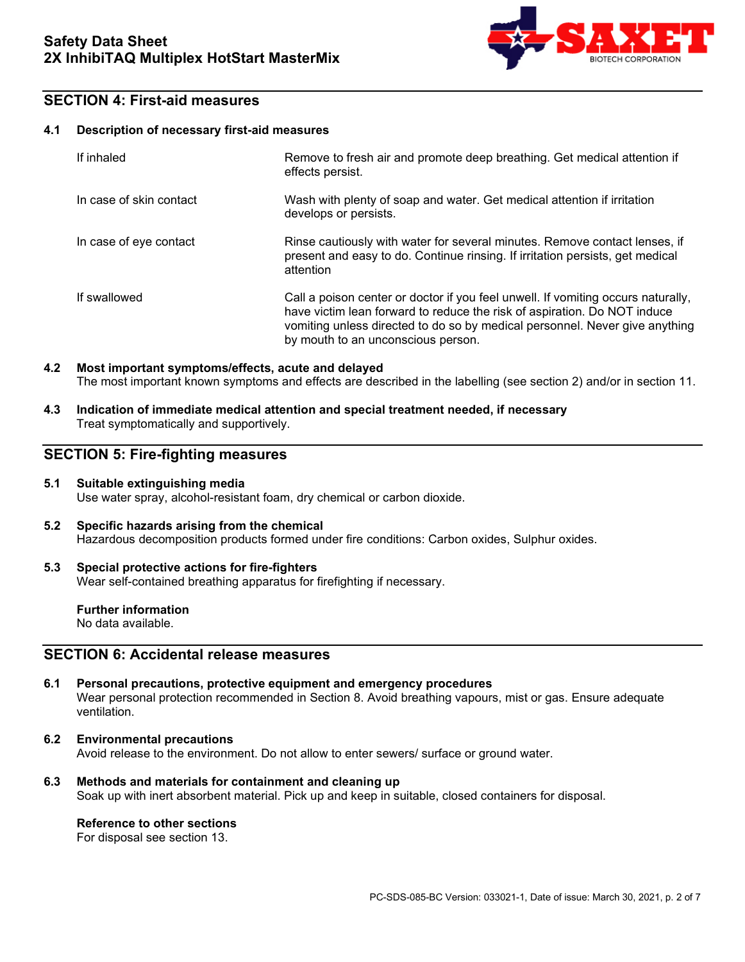

# **SECTION 4: First-aid measures**

### **4.1 Description of necessary first-aid measures**

| If inhaled              | Remove to fresh air and promote deep breathing. Get medical attention if<br>effects persist.                                                                                                                                                                                      |
|-------------------------|-----------------------------------------------------------------------------------------------------------------------------------------------------------------------------------------------------------------------------------------------------------------------------------|
| In case of skin contact | Wash with plenty of soap and water. Get medical attention if irritation<br>develops or persists.                                                                                                                                                                                  |
| In case of eye contact  | Rinse cautiously with water for several minutes. Remove contact lenses, if<br>present and easy to do. Continue rinsing. If irritation persists, get medical<br>attention                                                                                                          |
| If swallowed            | Call a poison center or doctor if you feel unwell. If vomiting occurs naturally,<br>have victim lean forward to reduce the risk of aspiration. Do NOT induce<br>vomiting unless directed to do so by medical personnel. Never give anything<br>by mouth to an unconscious person. |

### **4.2 Most important symptoms/effects, acute and delayed** The most important known symptoms and effects are described in the labelling (see section 2) and/or in section 11.

**4.3 Indication of immediate medical attention and special treatment needed, if necessary** Treat symptomatically and supportively.

### **SECTION 5: Fire-fighting measures**

### **5.1 Suitable extinguishing media** Use water spray, alcohol-resistant foam, dry chemical or carbon dioxide.

**5.2 Specific hazards arising from the chemical** Hazardous decomposition products formed under fire conditions: Carbon oxides, Sulphur oxides.

### **5.3 Special protective actions for fire-fighters** Wear self-contained breathing apparatus for firefighting if necessary.

**Further information** No data available.

# **SECTION 6: Accidental release measures**

- **6.1 Personal precautions, protective equipment and emergency procedures** Wear personal protection recommended in Section 8. Avoid breathing vapours, mist or gas. Ensure adequate ventilation.
- **6.2 Environmental precautions** Avoid release to the environment. Do not allow to enter sewers/ surface or ground water.
- **6.3 Methods and materials for containment and cleaning up** Soak up with inert absorbent material. Pick up and keep in suitable, closed containers for disposal.

### **Reference to other sections**

For disposal see section 13.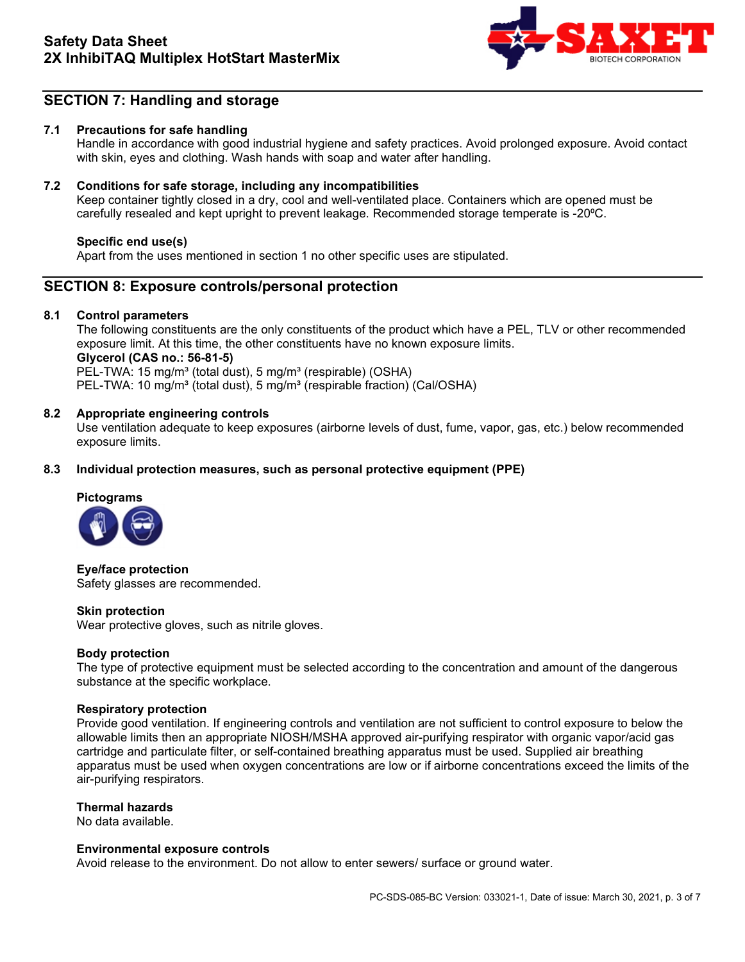

# **SECTION 7: Handling and storage**

### **7.1 Precautions for safe handling**

Handle in accordance with good industrial hygiene and safety practices. Avoid prolonged exposure. Avoid contact with skin, eyes and clothing. Wash hands with soap and water after handling.

### **7.2 Conditions for safe storage, including any incompatibilities**

Keep container tightly closed in a dry, cool and well-ventilated place. Containers which are opened must be carefully resealed and kept upright to prevent leakage. Recommended storage temperate is -20°C.

### **Specific end use(s)**

Apart from the uses mentioned in section 1 no other specific uses are stipulated.

### **SECTION 8: Exposure controls/personal protection**

### **8.1 Control parameters**

The following constituents are the only constituents of the product which have a PEL, TLV or other recommended exposure limit. At this time, the other constituents have no known exposure limits. **Glycerol (CAS no.: 56-81-5)**  PEL-TWA: 15 mg/m<sup>3</sup> (total dust), 5 mg/m<sup>3</sup> (respirable) (OSHA) PEL-TWA: 10 mg/m<sup>3</sup> (total dust), 5 mg/m<sup>3</sup> (respirable fraction) (Cal/OSHA)

### **8.2 Appropriate engineering controls**

Use ventilation adequate to keep exposures (airborne levels of dust, fume, vapor, gas, etc.) below recommended exposure limits.

### **8.3 Individual protection measures, such as personal protective equipment (PPE)**

# **Pictograms**



**Eye/face protection** Safety glasses are recommended.

### **Skin protection**

Wear protective gloves, such as nitrile gloves.

### **Body protection**

The type of protective equipment must be selected according to the concentration and amount of the dangerous substance at the specific workplace.

### **Respiratory protection**

Provide good ventilation. If engineering controls and ventilation are not sufficient to control exposure to below the allowable limits then an appropriate NIOSH/MSHA approved air-purifying respirator with organic vapor/acid gas cartridge and particulate filter, or self-contained breathing apparatus must be used. Supplied air breathing apparatus must be used when oxygen concentrations are low or if airborne concentrations exceed the limits of the air-purifying respirators.

### **Thermal hazards**

No data available.

### **Environmental exposure controls**

Avoid release to the environment. Do not allow to enter sewers/ surface or ground water.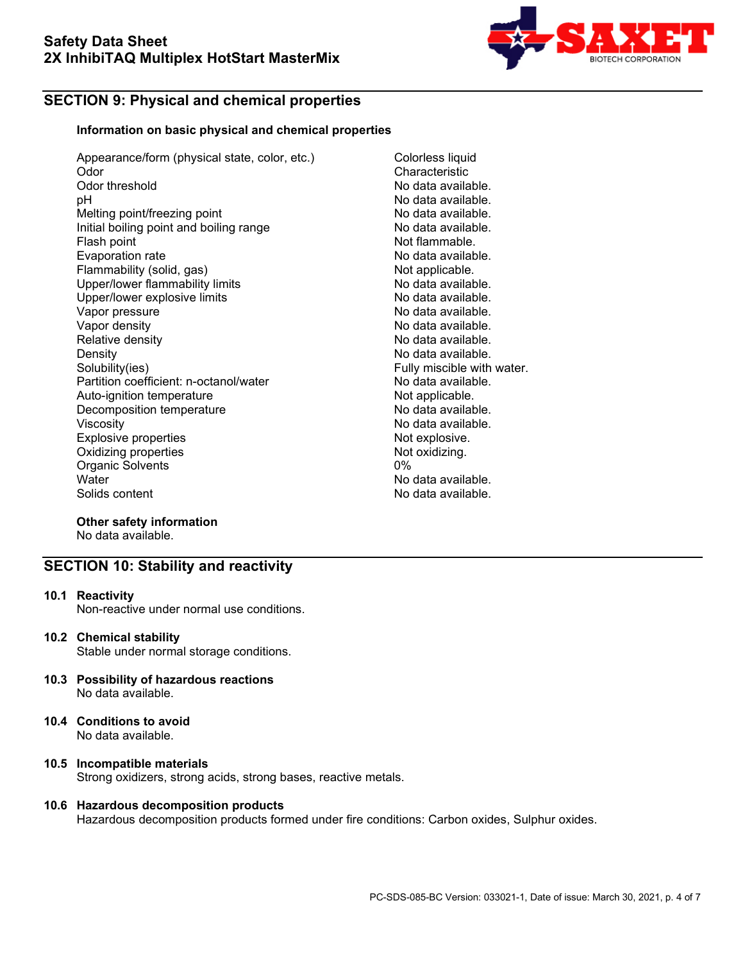

# **SECTION 9: Physical and chemical properties**

### **Information on basic physical and chemical properties**

- Appearance/form (physical state, color, etc.) Colorless liquid Odor Characteristic<br>
Odor threshold Characteristic<br>
Odor threshold No data availa Odor threshold **Odor** threshold **No data available.**<br>  $pH$  No data available. Melting point/freezing point Initial boiling point and boiling range **No data available.**<br>Flash point and boiling range **Not flammable**. Evaporation rate Flammability (solid, gas) Not applicable.<br>
Upper/lower flammability limits No data available. Upper/lower flammability limits and the second that the No data available.<br>Upper/lower explosive limits and the No data available. Upper/lower explosive limits No data available.<br>Vapor pressure No data available. Vapor pressure<br>Vapor density Vapor density<br>Relative density No data available. Density No data available.<br>Solubility(ies) Fully miscible with Partition coefficient: n-octanol/water Auto-ignition temperature and the Not applicable.<br>Decomposition temperature Not applicable Not at available. Decomposition temperature<br>Viscosity Explosive properties<br>
Oxidizing properties<br>
Oxidizing properties Oxidizing properties Not<br>
Organic Solvents (0%) Organic Solvents<br>Water Water No data available.<br>
Solids content Content Content Content Content Content Content Content Content Content Content Content Content<br>
No data available
	- No data available.<br>No data available. Not flammable.<br>No data available. No data available. Fully miscible with water.<br>No data available. No data available.<br>Not explosive. No data available.

# **Other safety information**

No data available.

# **SECTION 10: Stability and reactivity**

**10.1 Reactivity**

Non-reactive under normal use conditions.

### **10.2 Chemical stability**

Stable under normal storage conditions.

- **10.3 Possibility of hazardous reactions** No data available.
- **10.4 Conditions to avoid** No data available.

# **10.5 Incompatible materials**

Strong oxidizers, strong acids, strong bases, reactive metals.

### **10.6 Hazardous decomposition products**

Hazardous decomposition products formed under fire conditions: Carbon oxides, Sulphur oxides.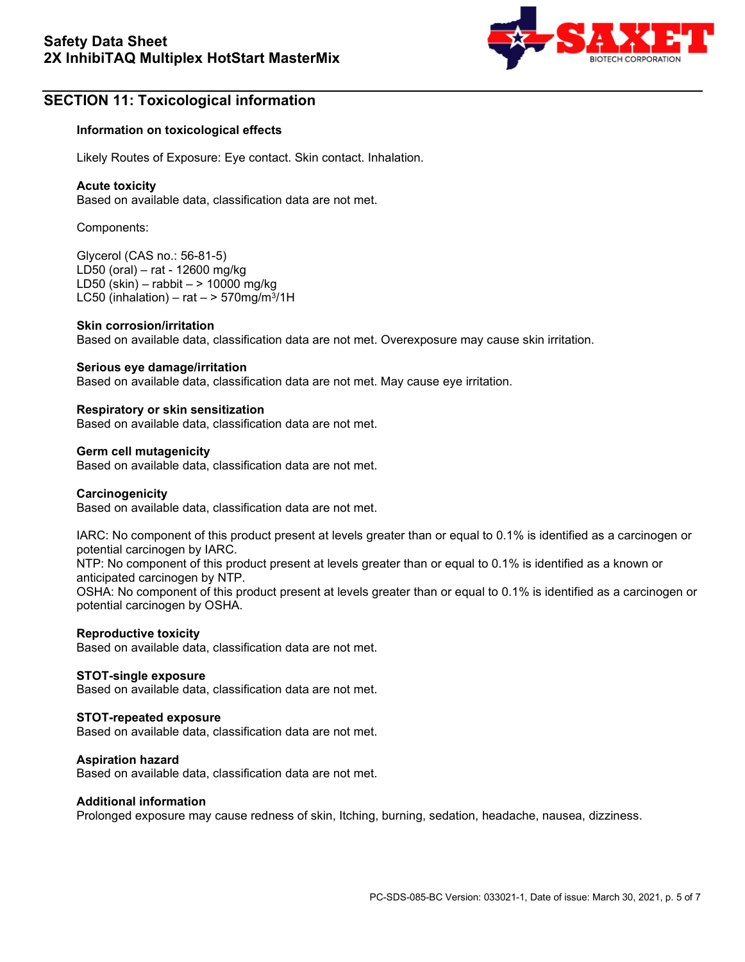

# **SECTION 11: Toxicological information**

### **Information on toxicological effects**

Likely Routes of Exposure: Eye contact. Skin contact. Inhalation.

### **Acute toxicity**

Based on available data, classification data are not met.

Components:

Glycerol (CAS no.: 56-81-5) LD50 (oral) – rat - 12600 mg/kg LD50 (skin) – rabbit – > 10000 mg/kg LC50 (inhalation) – rat  $-$  > 570mg/m<sup>3</sup>/1H

### **Skin corrosion/irritation**

Based on available data, classification data are not met. Overexposure may cause skin irritation.

### **Serious eye damage/irritation**

Based on available data, classification data are not met. May cause eye irritation.

### **Respiratory or skin sensitization**

Based on available data, classification data are not met.

### **Germ cell mutagenicity**

Based on available data, classification data are not met.

### **Carcinogenicity**

Based on available data, classification data are not met.

IARC: No component of this product present at levels greater than or equal to 0.1% is identified as a carcinogen or potential carcinogen by IARC.

NTP: No component of this product present at levels greater than or equal to 0.1% is identified as a known or anticipated carcinogen by NTP.

OSHA: No component of this product present at levels greater than or equal to 0.1% is identified as a carcinogen or potential carcinogen by OSHA.

### **Reproductive toxicity**

Based on available data, classification data are not met.

### **STOT-single exposure**

Based on available data, classification data are not met.

### **STOT-repeated exposure**

Based on available data, classification data are not met.

### **Aspiration hazard**

Based on available data, classification data are not met.

### **Additional information**

Prolonged exposure may cause redness of skin, Itching, burning, sedation, headache, nausea, dizziness.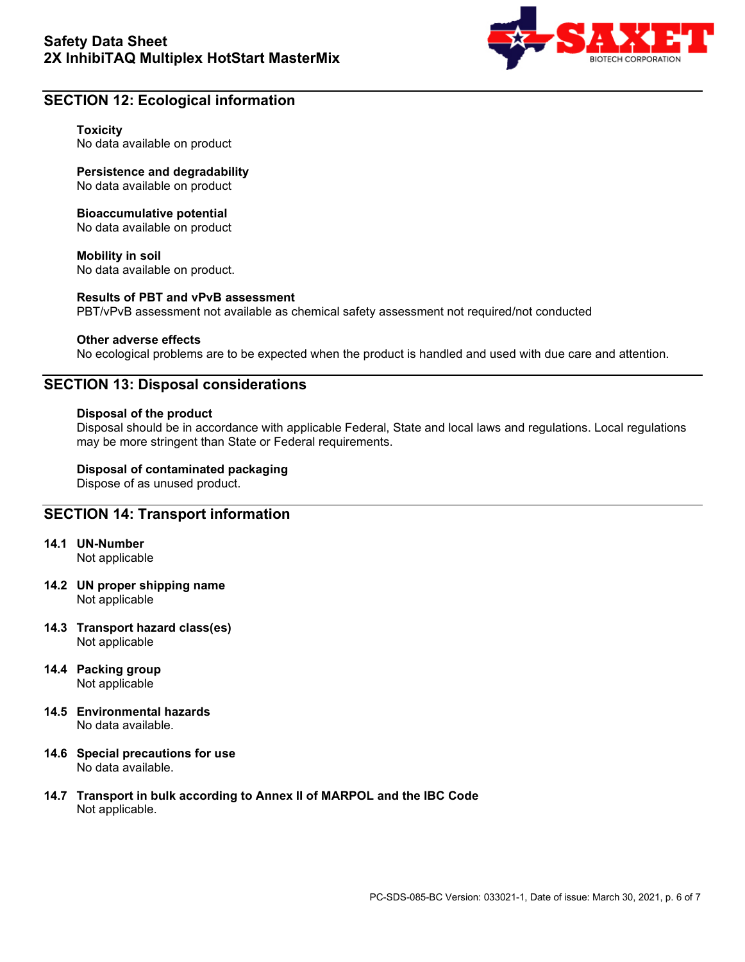

# **SECTION 12: Ecological information**

### **Toxicity**

No data available on product

**Persistence and degradability** No data available on product

### **Bioaccumulative potential**

No data available on product

**Mobility in soil** No data available on product.

### **Results of PBT and vPvB assessment**

PBT/vPvB assessment not available as chemical safety assessment not required/not conducted

### **Other adverse effects**

No ecological problems are to be expected when the product is handled and used with due care and attention.

## **SECTION 13: Disposal considerations**

### **Disposal of the product**

Disposal should be in accordance with applicable Federal, State and local laws and regulations. Local regulations may be more stringent than State or Federal requirements.

# **Disposal of contaminated packaging**

Dispose of as unused product.

### **SECTION 14: Transport information**

**14.1 UN-Number**

Not applicable

- **14.2 UN proper shipping name** Not applicable
- **14.3 Transport hazard class(es)** Not applicable
- **14.4 Packing group** Not applicable
- **14.5 Environmental hazards** No data available.
- **14.6 Special precautions for use** No data available.
- **14.7 Transport in bulk according to Annex II of MARPOL and the IBC Code** Not applicable.